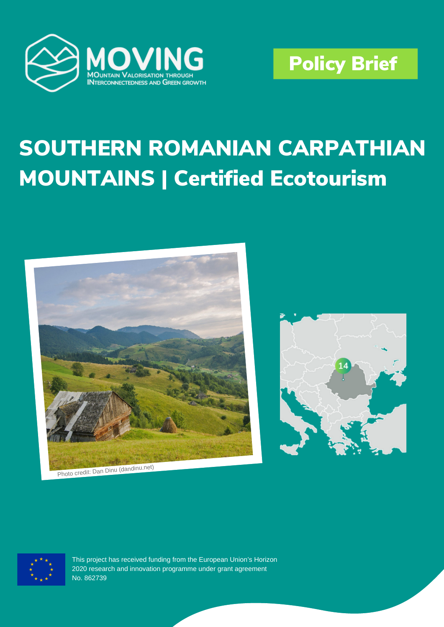



# SOUTHERN ROMANIAN CARPATHIAN MOUNTAINS | Certified Ecotourism







This project has received funding from the European Union's Horizon 2020 research and innovation programme under grant agreement No. 862739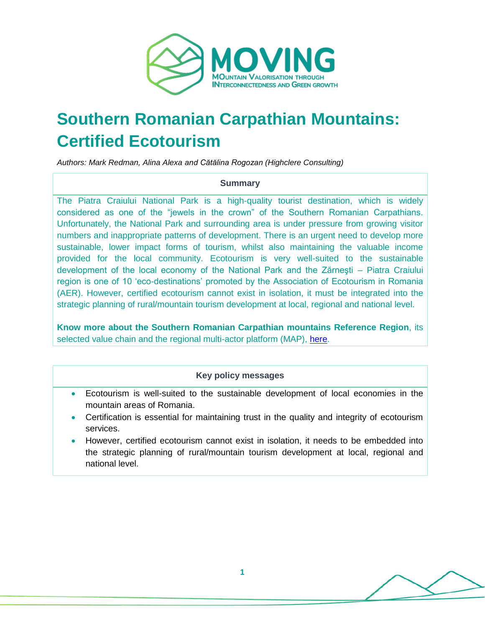

# **Southern Romanian Carpathian Mountains: Certified Ecotourism**

*Authors: Mark Redman, Alina Alexa and Cătălina Rogozan (Highclere Consulting)*

#### **Summary**

The Piatra Craiului National Park is a high-quality tourist destination, which is widely considered as one of the "jewels in the crown" of the Southern Romanian Carpathians. Unfortunately, the National Park and surrounding area is under pressure from growing visitor numbers and inappropriate patterns of development. There is an urgent need to develop more sustainable, lower impact forms of tourism, whilst also maintaining the valuable income provided for the local community. Ecotourism is very well-suited to the sustainable development of the local economy of the National Park and the Zărneşti – Piatra Craiului region is one of 10 'eco-destinations' promoted by the Association of Ecotourism in Romania (AER). However, certified ecotourism cannot exist in isolation, it must be integrated into the strategic planning of rural/mountain tourism development at local, regional and national level.

**Know more about the Southern Romanian Carpathian mountains Reference Region**, its selected value chain and the regional multi-actor platform (MAP), [here.](https://www.moving-h2020.eu/reference_regions/southern-romanian-carpathian-mountains-romania/)

#### **Key policy messages**

- Ecotourism is well-suited to the sustainable development of local economies in the mountain areas of Romania.
- Certification is essential for maintaining trust in the quality and integrity of ecotourism services.
- However, certified ecotourism cannot exist in isolation, it needs to be embedded into the strategic planning of rural/mountain tourism development at local, regional and national level.

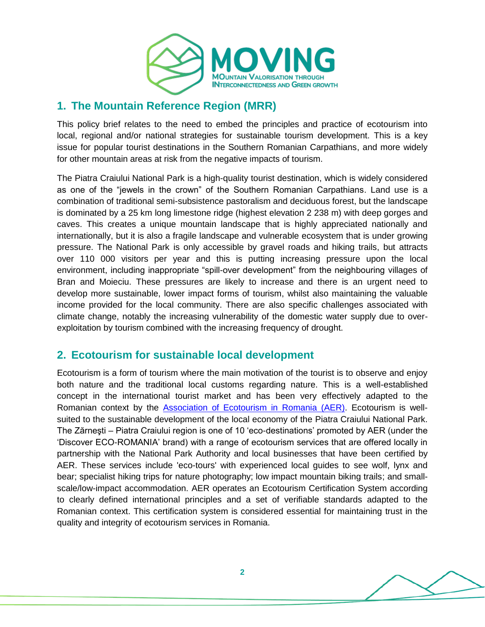

# **1. The Mountain Reference Region (MRR)**

This policy brief relates to the need to embed the principles and practice of ecotourism into local, regional and/or national strategies for sustainable tourism development. This is a key issue for popular tourist destinations in the Southern Romanian Carpathians, and more widely for other mountain areas at risk from the negative impacts of tourism.

The Piatra Craiului National Park is a high-quality tourist destination, which is widely considered as one of the "jewels in the crown" of the Southern Romanian Carpathians. Land use is a combination of traditional semi-subsistence pastoralism and deciduous forest, but the landscape is dominated by a 25 km long limestone ridge (highest elevation 2 238 m) with deep gorges and caves. This creates a unique mountain landscape that is highly appreciated nationally and internationally, but it is also a fragile landscape and vulnerable ecosystem that is under growing pressure. The National Park is only accessible by gravel roads and hiking trails, but attracts over 110 000 visitors per year and this is putting increasing pressure upon the local environment, including inappropriate "spill-over development" from the neighbouring villages of Bran and Moieciu. These pressures are likely to increase and there is an urgent need to develop more sustainable, lower impact forms of tourism, whilst also maintaining the valuable income provided for the local community. There are also specific challenges associated with climate change, notably the increasing vulnerability of the domestic water supply due to overexploitation by tourism combined with the increasing frequency of drought.

# **2. Ecotourism for sustainable local development**

Ecotourism is a form of tourism where the main motivation of the tourist is to observe and enjoy both nature and the traditional local customs regarding nature. This is a well-established concept in the international tourist market and has been very effectively adapted to the Romanian context by the [Association of Ecotourism in Romania \(AER\).](https://asociatiaaer.ro/en/) Ecotourism is wellsuited to the sustainable development of the local economy of the Piatra Craiului National Park. The Zărneşti – Piatra Craiului region is one of 10 'eco-destinations' promoted by AER (under the 'Discover ECO-ROMANIA' brand) with a range of ecotourism services that are offered locally in partnership with the National Park Authority and local businesses that have been certified by AER. These services include 'eco-tours' with experienced local guides to see wolf, lynx and bear; specialist hiking trips for nature photography; low impact mountain biking trails; and smallscale/low-impact accommodation. AER operates an Ecotourism Certification System according to clearly defined international principles and a set of verifiable standards adapted to the Romanian context. This certification system is considered essential for maintaining trust in the quality and integrity of ecotourism services in Romania.

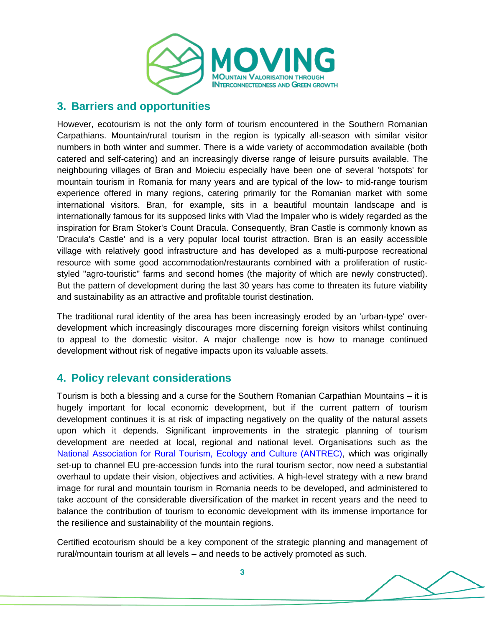

## **3. Barriers and opportunities**

However, ecotourism is not the only form of tourism encountered in the Southern Romanian Carpathians. Mountain/rural tourism in the region is typically all-season with similar visitor numbers in both winter and summer. There is a wide variety of accommodation available (both catered and self-catering) and an increasingly diverse range of leisure pursuits available. The neighbouring villages of Bran and Moieciu especially have been one of several 'hotspots' for mountain tourism in Romania for many years and are typical of the low- to mid-range tourism experience offered in many regions, catering primarily for the Romanian market with some international visitors. Bran, for example, sits in a beautiful mountain landscape and is internationally famous for its supposed links with Vlad the Impaler who is widely regarded as the inspiration for Bram Stoker's Count Dracula. Consequently, Bran Castle is commonly known as 'Dracula's Castle' and is a very popular local tourist attraction. Bran is an easily accessible village with relatively good infrastructure and has developed as a multi-purpose recreational resource with some good accommodation/restaurants combined with a proliferation of rusticstyled "agro-touristic" farms and second homes (the majority of which are newly constructed). But the pattern of development during the last 30 years has come to threaten its future viability and sustainability as an attractive and profitable tourist destination.

The traditional rural identity of the area has been increasingly eroded by an 'urban-type' overdevelopment which increasingly discourages more discerning foreign visitors whilst continuing to appeal to the domestic visitor. A major challenge now is how to manage continued development without risk of negative impacts upon its valuable assets.

# **4. Policy relevant considerations**

Tourism is both a blessing and a curse for the Southern Romanian Carpathian Mountains – it is hugely important for local economic development, but if the current pattern of tourism development continues it is at risk of impacting negatively on the quality of the natural assets upon which it depends. Significant improvements in the strategic planning of tourism development are needed at local, regional and national level. Organisations such as the [National Association for Rural Tourism, Ecology and Culture \(ANTREC\),](https://www.antrec.ro/) which was originally set-up to channel EU pre-accession funds into the rural tourism sector, now need a substantial overhaul to update their vision, objectives and activities. A high-level strategy with a new brand image for rural and mountain tourism in Romania needs to be developed, and administered to take account of the considerable diversification of the market in recent years and the need to balance the contribution of tourism to economic development with its immense importance for the resilience and sustainability of the mountain regions.

Certified ecotourism should be a key component of the strategic planning and management of rural/mountain tourism at all levels – and needs to be actively promoted as such.